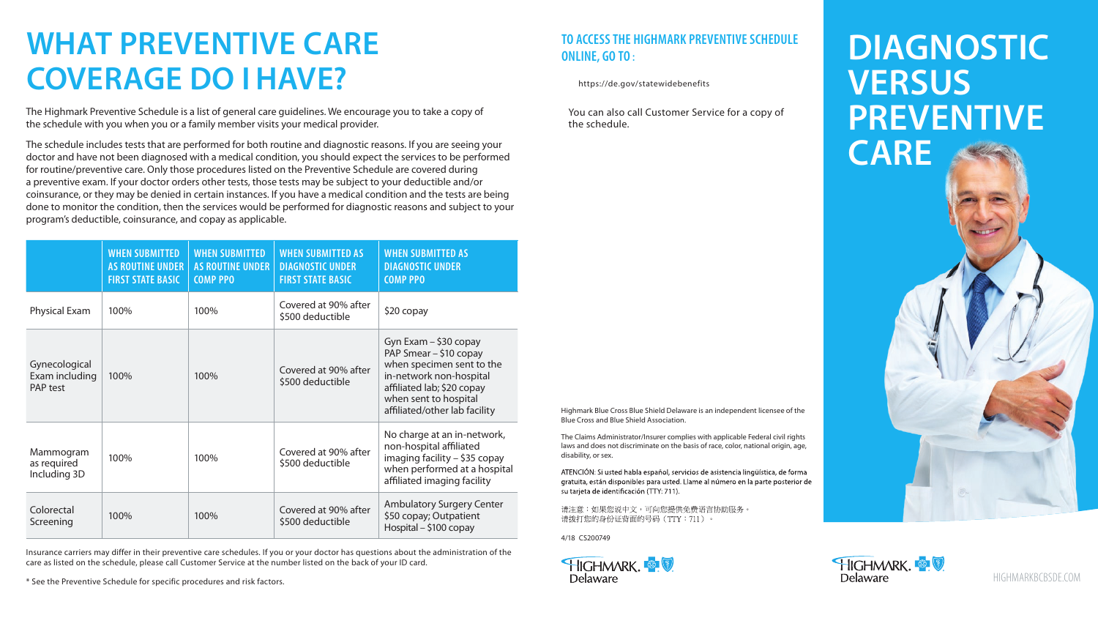# **TO ACCESS THE HIGHMARK PREVENTIVE SCHEDULE ONLINE, GO TO :**

<https://de.gov/statewidebenefits>

You can also call Customer Service for a copy of the schedule.

# **WHAT PREVENTIVE CARE COVERAGE DO I HAVE?**

The Highmark Preventive Schedule is a list of general care guidelines. We encourage you to take a copy of the schedule with you when you or a family member visits your medical provider.

The schedule includes tests that are performed for both routine and diagnostic reasons. If you are seeing your doctor and have not been diagnosed with a medical condition, you should expect the services to be performed for routine/preventive care. Only those procedures listed on the Preventive Schedule are covered during a preventive exam. If your doctor orders other tests, those tests may be subject to your deductible and/or coinsurance, or they may be denied in certain instances. If you have a medical condition and the tests are being done to monitor the condition, then the services would be performed for diagnostic reasons and subject to your program's deductible, coinsurance, and copay as applicable.

Insurance carriers may differ in their preventive care schedules. If you or your doctor has questions about the administration of the care as listed on the schedule, please call Customer Service at the number listed on the back of your ID card.

\* See the Preventive Schedule for specific procedures and risk factors.

# **DIAGNOSTIC VERSUS PREVENTIVE CARE**

[HIGHMARKBCBSDE.COM](http://highmarkBCBSDE.com)

|                                             | <b>WHEN SUBMITTED</b><br><b>AS ROUTINE UNDER</b><br><b>FIRST STATE BASIC</b> | <b>WHEN SUBMITTED</b><br><b>AS ROUTINE UNDER</b><br><b>COMP PPO</b> | <b>WHEN SUBMITTED AS</b><br><b>DIAGNOSTIC UNDER</b><br><b>FIRST STATE BASIC</b> | <b>WHEN SUBMITTED AS</b><br><b>DIAGNOSTIC UNDER</b><br><b>COMP PPO</b>                                                                                                                          |
|---------------------------------------------|------------------------------------------------------------------------------|---------------------------------------------------------------------|---------------------------------------------------------------------------------|-------------------------------------------------------------------------------------------------------------------------------------------------------------------------------------------------|
| Physical Exam                               | 100%                                                                         | 100%                                                                | Covered at 90% after<br>\$500 deductible                                        | \$20 copay                                                                                                                                                                                      |
| Gynecological<br>Exam including<br>PAP test | 100%                                                                         | 100%                                                                | Covered at 90% after<br>\$500 deductible                                        | Gyn Exam - \$30 copay<br>PAP Smear - \$10 copay<br>when specimen sent to the<br>in-network non-hospital<br>affiliated lab; \$20 copay<br>when sent to hospital<br>affiliated/other lab facility |
| Mammogram<br>as required<br>Including 3D    | 100%                                                                         | 100%                                                                | Covered at 90% after<br>\$500 deductible                                        | No charge at an in-network,<br>non-hospital affiliated<br>imaging facility - \$35 copay<br>when performed at a hospital<br>affiliated imaging facility                                          |
| Colorectal<br>Screening                     | 100%                                                                         | 100%                                                                | Covered at 90% after<br>\$500 deductible                                        | <b>Ambulatory Surgery Center</b><br>\$50 copay; Outpatient<br>Hospital - \$100 copay                                                                                                            |

Highmark Blue Cross Blue Shield Delaware is an independent licensee of the Blue Cross and Blue Shield Association.

The Claims Administrator/Insurer complies with applicable Federal civil rights laws and does not discriminate on the basis of race, color, national origin, age, disability, or sex.

ATENCIÓN: Si usted habla español, servicios de asistencia lingüística, de forma gratuita, están disponibles para usted. Llame al número en la parte posterior de su tarjeta de identificación (TTY: 711).

请注意:如果您说中文,可向您提供免费语言协助服务。 请拨打您的身份证背面的号码 (TTY: 711)。

4/18 CS200749